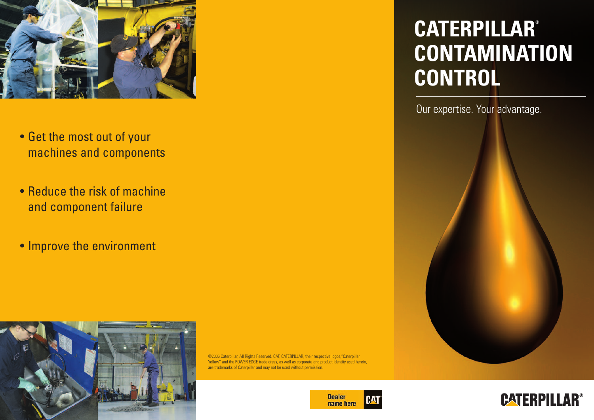

- Get the most out of your machines and components
- Reduce the risk of machine and component failure
- Improve the environment



©2006 Caterpillar, All Rights Reserved, CAT, CATERPILLAR, their respective logos, "Caterpillar Yellow" and the POWER EDGE trade dress, as well as corporate and product identity used herein, are trademarks of Caterpillar and may not be used without permission.



# **CATERPILLAR ® CONTAMINATION CONTROL**

Our expertise. Your advantage.